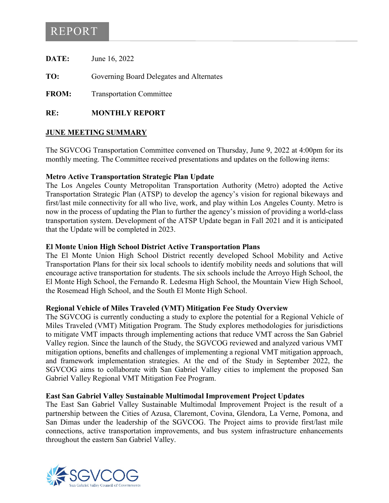# REPORT

**DATE:** June 16, 2022

**TO:** Governing Board Delegates and Alternates

**FROM:** Transportation Committee

**RE: MONTHLY REPORT**

# **JUNE MEETING SUMMARY**

The SGVCOG Transportation Committee convened on Thursday, June 9, 2022 at 4:00pm for its monthly meeting. The Committee received presentations and updates on the following items:

# **Metro Active Transportation Strategic Plan Update**

The Los Angeles County Metropolitan Transportation Authority (Metro) adopted the Active Transportation Strategic Plan (ATSP) to develop the agency's vision for regional bikeways and first/last mile connectivity for all who live, work, and play within Los Angeles County. Metro is now in the process of updating the Plan to further the agency's mission of providing a world-class transportation system. Development of the ATSP Update began in Fall 2021 and it is anticipated that the Update will be completed in 2023.

#### **El Monte Union High School District Active Transportation Plans**

The El Monte Union High School District recently developed School Mobility and Active Transportation Plans for their six local schools to identify mobility needs and solutions that will encourage active transportation for students. The six schools include the Arroyo High School, the El Monte High School, the Fernando R. Ledesma High School, the Mountain View High School, the Rosemead High School, and the South El Monte High School.

#### **Regional Vehicle of Miles Traveled (VMT) Mitigation Fee Study Overview**

The SGVCOG is currently conducting a study to explore the potential for a Regional Vehicle of Miles Traveled (VMT) Mitigation Program. The Study explores methodologies for jurisdictions to mitigate VMT impacts through implementing actions that reduce VMT across the San Gabriel Valley region. Since the launch of the Study, the SGVCOG reviewed and analyzed various VMT mitigation options, benefits and challenges of implementing a regional VMT mitigation approach, and framework implementation strategies. At the end of the Study in September 2022, the SGVCOG aims to collaborate with San Gabriel Valley cities to implement the proposed San Gabriel Valley Regional VMT Mitigation Fee Program.

# **East San Gabriel Valley Sustainable Multimodal Improvement Project Updates**

The East San Gabriel Valley Sustainable Multimodal Improvement Project is the result of a partnership between the Cities of Azusa, Claremont, Covina, Glendora, La Verne, Pomona, and San Dimas under the leadership of the SGVCOG. The Project aims to provide first/last mile connections, active transportation improvements, and bus system infrastructure enhancements throughout the eastern San Gabriel Valley.